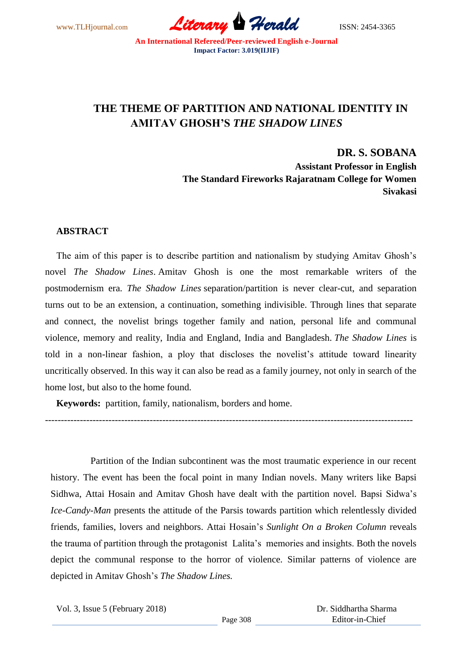

# **THE THEME OF PARTITION AND NATIONAL IDENTITY IN AMITAV GHOSH'S** *THE SHADOW LINES*

**DR. S. SOBANA**

**Assistant Professor in English The Standard Fireworks Rajaratnam College for Women Sivakasi**

# **ABSTRACT**

The aim of this paper is to describe partition and nationalism by studying Amitav Ghosh's novel *The Shadow Lines*. Amitav Ghosh is one the most remarkable writers of the postmodernism era. *The Shadow Lines* separation/partition is never clear-cut, and separation turns out to be an extension, a continuation, something indivisible. Through lines that separate and connect, the novelist brings together family and nation, personal life and communal violence, memory and reality, India and England, India and Bangladesh. *The Shadow Lines* is told in a non-linear fashion, a ploy that discloses the novelist's attitude toward linearity uncritically observed. In this way it can also be read as a family journey, not only in search of the home lost, but also to the home found.

--------------------------------------------------------------------------------------------------------------------

**Keywords:** partition, [family,](http://www.tandfonline.com/keyword/Family) nationalism, [borders](http://www.tandfonline.com/keyword/Borders) and [home.](http://www.tandfonline.com/keyword/Home)

Partition of the Indian subcontinent was the most traumatic experience in our recent history. The event has been the focal point in many Indian novels. Many writers like Bapsi Sidhwa, Attai Hosain and Amitav Ghosh have dealt with the partition novel. Bapsi Sidwa's *Ice-Candy-Man* presents the attitude of the Parsis towards partition which relentlessly divided friends, families, lovers and neighbors. Attai Hosain's *Sunlight On a Broken Column* reveals the trauma of partition through the protagonist Lalita's memories and insights. Both the novels depict the communal response to the horror of violence. Similar patterns of violence are depicted in Amitav Ghosh's *The Shadow Lines.*

Vol. 3, Issue 5 (February 2018)

 Dr. Siddhartha Sharma Editor-in-Chief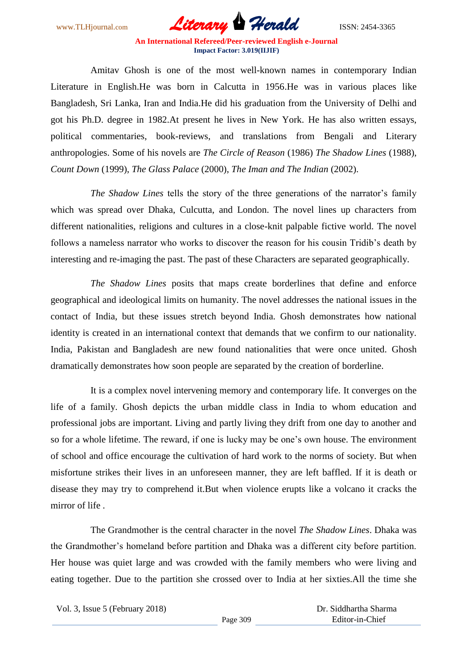

Amitav Ghosh is one of the most well-known names in contemporary Indian Literature in English.He was born in Calcutta in 1956.He was in various places like Bangladesh, Sri Lanka, Iran and India.He did his graduation from the University of Delhi and got his Ph.D. degree in 1982.At present he lives in New York. He has also written essays, political commentaries, book-reviews, and translations from Bengali and Literary anthropologies. Some of his novels are *The Circle of Reason* (1986) *The Shadow Lines* (1988), *Count Down* (1999), *The Glass Palace* (2000), *The Iman and The Indian* (2002).

*The Shadow Lines* tells the story of the three generations of the narrator's family which was spread over Dhaka, Culcutta, and London. The novel lines up characters from different nationalities, religions and cultures in a close-knit palpable fictive world. The novel follows a nameless narrator who works to discover the reason for his cousin Tridib's death by interesting and re-imaging the past. The past of these Characters are separated geographically.

*The Shadow Lines* posits that maps create borderlines that define and enforce geographical and ideological limits on humanity. The novel addresses the national issues in the contact of India, but these issues stretch beyond India. Ghosh demonstrates how national identity is created in an international context that demands that we confirm to our nationality. India, Pakistan and Bangladesh are new found nationalities that were once united. Ghosh dramatically demonstrates how soon people are separated by the creation of borderline.

It is a complex novel intervening memory and contemporary life. It converges on the life of a family. Ghosh depicts the urban middle class in India to whom education and professional jobs are important. Living and partly living they drift from one day to another and so for a whole lifetime. The reward, if one is lucky may be one's own house. The environment of school and office encourage the cultivation of hard work to the norms of society. But when misfortune strikes their lives in an unforeseen manner, they are left baffled. If it is death or disease they may try to comprehend it.But when violence erupts like a volcano it cracks the mirror of life .

The Grandmother is the central character in the novel *The Shadow Lines*. Dhaka was the Grandmother's homeland before partition and Dhaka was a different city before partition. Her house was quiet large and was crowded with the family members who were living and eating together. Due to the partition she crossed over to India at her sixties.All the time she

Vol. 3, Issue 5 (February 2018)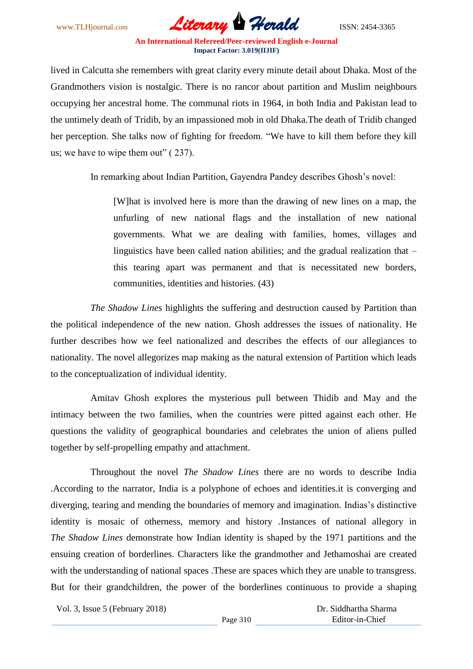

lived in Calcutta she remembers with great clarity every minute detail about Dhaka. Most of the Grandmothers vision is nostalgic. There is no rancor about partition and Muslim neighbours occupying her ancestral home. The communal riots in 1964, in both India and Pakistan lead to the untimely death of Tridib, by an impassioned mob in old Dhaka.The death of Tridib changed her perception. She talks now of fighting for freedom. "We have to kill them before they kill us; we have to wipe them out" ( 237).

In remarking about Indian Partition, Gayendra Pandey describes Ghosh's novel:

[W]hat is involved here is more than the drawing of new lines on a map, the unfurling of new national flags and the installation of new national governments. What we are dealing with families, homes, villages and linguistics have been called nation abilities; and the gradual realization that – this tearing apart was permanent and that is necessitated new borders, communities, identities and histories. (43)

*The Shadow Lines* highlights the suffering and destruction caused by Partition than the political independence of the new nation. Ghosh addresses the issues of nationality. He further describes how we feel nationalized and describes the effects of our allegiances to nationality. The novel allegorizes map making as the natural extension of Partition which leads to the conceptualization of individual identity.

Amitav Ghosh explores the mysterious pull between Thidib and May and the intimacy between the two families, when the countries were pitted against each other. He questions the validity of geographical boundaries and celebrates the union of aliens pulled together by self-propelling empathy and attachment.

Throughout the novel *The Shadow Lines* there are no words to describe India .According to the narrator, India is a polyphone of echoes and identities.it is converging and diverging, tearing and mending the boundaries of memory and imagination. Indias's distinctive identity is mosaic of otherness, memory and history .Instances of national allegory in *The Shadow Lines* demonstrate how Indian identity is shaped by the 1971 partitions and the ensuing creation of borderlines. Characters like the grandmother and Jethamoshai are created with the understanding of national spaces. These are spaces which they are unable to transgress. But for their grandchildren, the power of the borderlines continuous to provide a shaping

Vol. 3, Issue 5 (February 2018)

 Dr. Siddhartha Sharma Editor-in-Chief